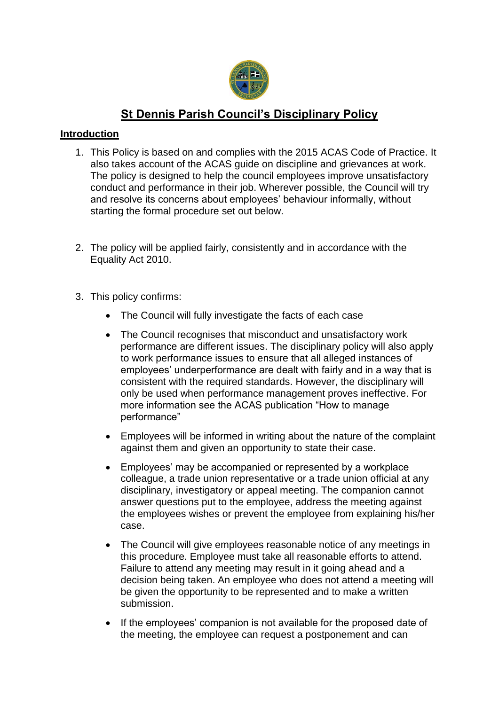

# **St Dennis Parish Council's Disciplinary Policy**

## **Introduction**

- 1. This Policy is based on and complies with the 2015 ACAS Code of Practice. It also takes account of the ACAS guide on discipline and grievances at work. The policy is designed to help the council employees improve unsatisfactory conduct and performance in their job. Wherever possible, the Council will try and resolve its concerns about employees' behaviour informally, without starting the formal procedure set out below.
- 2. The policy will be applied fairly, consistently and in accordance with the Equality Act 2010.
- 3. This policy confirms:
	- The Council will fully investigate the facts of each case
	- The Council recognises that misconduct and unsatisfactory work performance are different issues. The disciplinary policy will also apply to work performance issues to ensure that all alleged instances of employees' underperformance are dealt with fairly and in a way that is consistent with the required standards. However, the disciplinary will only be used when performance management proves ineffective. For more information see the ACAS publication "How to manage performance"
	- Employees will be informed in writing about the nature of the complaint against them and given an opportunity to state their case.
	- Employees' may be accompanied or represented by a workplace colleague, a trade union representative or a trade union official at any disciplinary, investigatory or appeal meeting. The companion cannot answer questions put to the employee, address the meeting against the employees wishes or prevent the employee from explaining his/her case.
	- The Council will give employees reasonable notice of any meetings in this procedure. Employee must take all reasonable efforts to attend. Failure to attend any meeting may result in it going ahead and a decision being taken. An employee who does not attend a meeting will be given the opportunity to be represented and to make a written submission.
	- If the employees' companion is not available for the proposed date of the meeting, the employee can request a postponement and can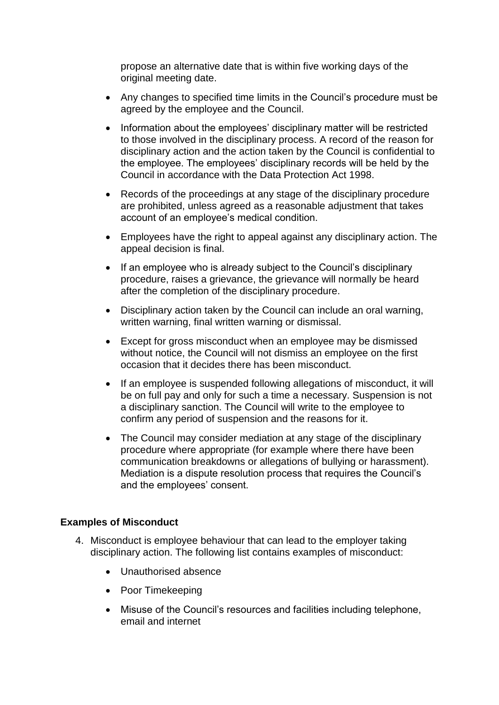propose an alternative date that is within five working days of the original meeting date.

- Any changes to specified time limits in the Council's procedure must be agreed by the employee and the Council.
- Information about the employees' disciplinary matter will be restricted to those involved in the disciplinary process. A record of the reason for disciplinary action and the action taken by the Council is confidential to the employee. The employees' disciplinary records will be held by the Council in accordance with the Data Protection Act 1998.
- Records of the proceedings at any stage of the disciplinary procedure are prohibited, unless agreed as a reasonable adjustment that takes account of an employee's medical condition.
- Employees have the right to appeal against any disciplinary action. The appeal decision is final.
- If an employee who is already subject to the Council's disciplinary procedure, raises a grievance, the grievance will normally be heard after the completion of the disciplinary procedure.
- Disciplinary action taken by the Council can include an oral warning, written warning, final written warning or dismissal.
- Except for gross misconduct when an employee may be dismissed without notice, the Council will not dismiss an employee on the first occasion that it decides there has been misconduct.
- If an employee is suspended following allegations of misconduct, it will be on full pay and only for such a time a necessary. Suspension is not a disciplinary sanction. The Council will write to the employee to confirm any period of suspension and the reasons for it.
- The Council may consider mediation at any stage of the disciplinary procedure where appropriate (for example where there have been communication breakdowns or allegations of bullying or harassment). Mediation is a dispute resolution process that requires the Council's and the employees' consent.

#### **Examples of Misconduct**

- 4. Misconduct is employee behaviour that can lead to the employer taking disciplinary action. The following list contains examples of misconduct:
	- Unauthorised absence
	- Poor Timekeeping
	- Misuse of the Council's resources and facilities including telephone, email and internet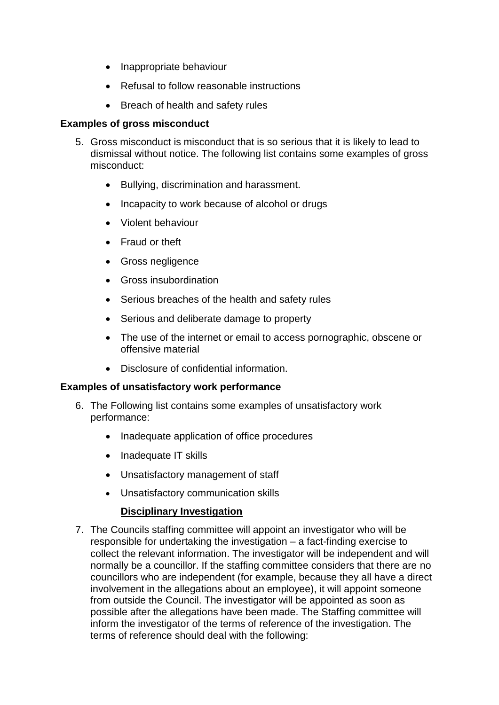- Inappropriate behaviour
- Refusal to follow reasonable instructions
- Breach of health and safety rules

#### **Examples of gross misconduct**

- 5. Gross misconduct is misconduct that is so serious that it is likely to lead to dismissal without notice. The following list contains some examples of gross misconduct:
	- Bullying, discrimination and harassment.
	- Incapacity to work because of alcohol or drugs
	- Violent behaviour
	- Fraud or theft
	- Gross negligence
	- Gross insubordination
	- Serious breaches of the health and safety rules
	- Serious and deliberate damage to property
	- The use of the internet or email to access pornographic, obscene or offensive material
	- Disclosure of confidential information.

#### **Examples of unsatisfactory work performance**

- 6. The Following list contains some examples of unsatisfactory work performance:
	- Inadequate application of office procedures
	- Inadequate IT skills
	- Unsatisfactory management of staff
	- Unsatisfactory communication skills

## **Disciplinary Investigation**

7. The Councils staffing committee will appoint an investigator who will be responsible for undertaking the investigation – a fact-finding exercise to collect the relevant information. The investigator will be independent and will normally be a councillor. If the staffing committee considers that there are no councillors who are independent (for example, because they all have a direct involvement in the allegations about an employee), it will appoint someone from outside the Council. The investigator will be appointed as soon as possible after the allegations have been made. The Staffing committee will inform the investigator of the terms of reference of the investigation. The terms of reference should deal with the following: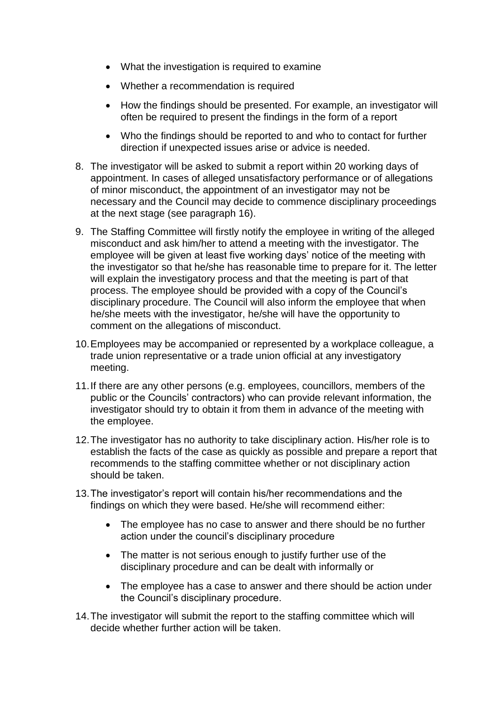- What the investigation is required to examine
- Whether a recommendation is required
- How the findings should be presented. For example, an investigator will often be required to present the findings in the form of a report
- Who the findings should be reported to and who to contact for further direction if unexpected issues arise or advice is needed.
- 8. The investigator will be asked to submit a report within 20 working days of appointment. In cases of alleged unsatisfactory performance or of allegations of minor misconduct, the appointment of an investigator may not be necessary and the Council may decide to commence disciplinary proceedings at the next stage (see paragraph 16).
- 9. The Staffing Committee will firstly notify the employee in writing of the alleged misconduct and ask him/her to attend a meeting with the investigator. The employee will be given at least five working days' notice of the meeting with the investigator so that he/she has reasonable time to prepare for it. The letter will explain the investigatory process and that the meeting is part of that process. The employee should be provided with a copy of the Council's disciplinary procedure. The Council will also inform the employee that when he/she meets with the investigator, he/she will have the opportunity to comment on the allegations of misconduct.
- 10.Employees may be accompanied or represented by a workplace colleague, a trade union representative or a trade union official at any investigatory meeting.
- 11.If there are any other persons (e.g. employees, councillors, members of the public or the Councils' contractors) who can provide relevant information, the investigator should try to obtain it from them in advance of the meeting with the employee.
- 12.The investigator has no authority to take disciplinary action. His/her role is to establish the facts of the case as quickly as possible and prepare a report that recommends to the staffing committee whether or not disciplinary action should be taken.
- 13.The investigator's report will contain his/her recommendations and the findings on which they were based. He/she will recommend either:
	- The employee has no case to answer and there should be no further action under the council's disciplinary procedure
	- The matter is not serious enough to justify further use of the disciplinary procedure and can be dealt with informally or
	- The employee has a case to answer and there should be action under the Council's disciplinary procedure.
- 14.The investigator will submit the report to the staffing committee which will decide whether further action will be taken.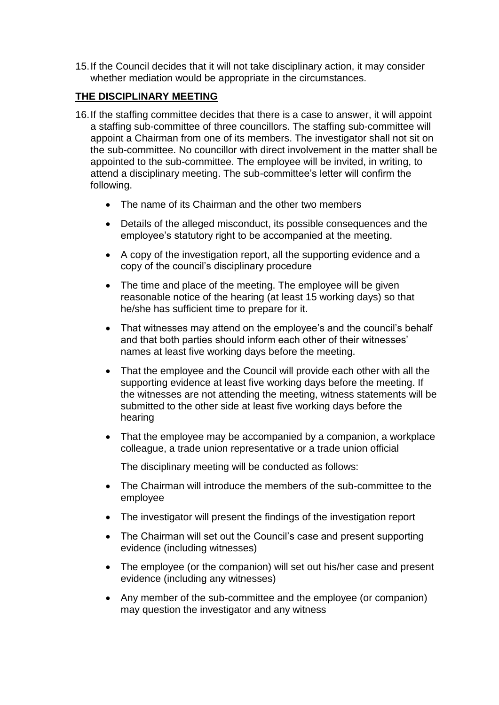15.If the Council decides that it will not take disciplinary action, it may consider whether mediation would be appropriate in the circumstances.

## **THE DISCIPLINARY MEETING**

- 16.If the staffing committee decides that there is a case to answer, it will appoint a staffing sub-committee of three councillors. The staffing sub-committee will appoint a Chairman from one of its members. The investigator shall not sit on the sub-committee. No councillor with direct involvement in the matter shall be appointed to the sub-committee. The employee will be invited, in writing, to attend a disciplinary meeting. The sub-committee's letter will confirm the following.
	- The name of its Chairman and the other two members
	- Details of the alleged misconduct, its possible consequences and the employee's statutory right to be accompanied at the meeting.
	- A copy of the investigation report, all the supporting evidence and a copy of the council's disciplinary procedure
	- The time and place of the meeting. The employee will be given reasonable notice of the hearing (at least 15 working days) so that he/she has sufficient time to prepare for it.
	- That witnesses may attend on the employee's and the council's behalf and that both parties should inform each other of their witnesses' names at least five working days before the meeting.
	- That the employee and the Council will provide each other with all the supporting evidence at least five working days before the meeting. If the witnesses are not attending the meeting, witness statements will be submitted to the other side at least five working days before the hearing
	- That the employee may be accompanied by a companion, a workplace colleague, a trade union representative or a trade union official

The disciplinary meeting will be conducted as follows:

- The Chairman will introduce the members of the sub-committee to the employee
- The investigator will present the findings of the investigation report
- The Chairman will set out the Council's case and present supporting evidence (including witnesses)
- The employee (or the companion) will set out his/her case and present evidence (including any witnesses)
- Any member of the sub-committee and the employee (or companion) may question the investigator and any witness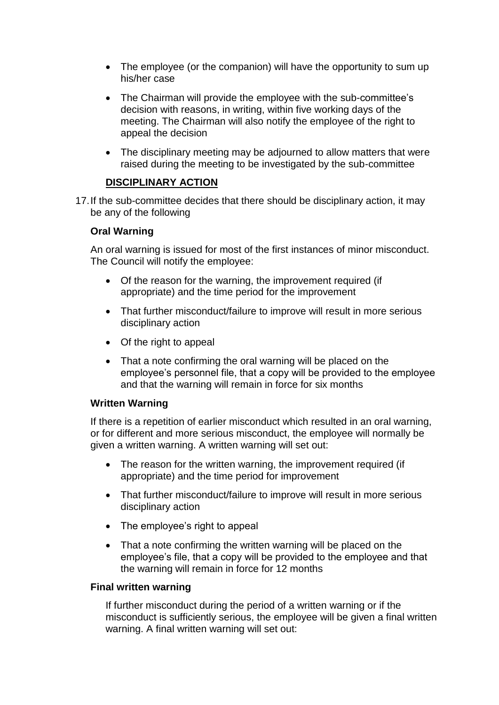- The employee (or the companion) will have the opportunity to sum up his/her case
- The Chairman will provide the employee with the sub-committee's decision with reasons, in writing, within five working days of the meeting. The Chairman will also notify the employee of the right to appeal the decision
- The disciplinary meeting may be adjourned to allow matters that were raised during the meeting to be investigated by the sub-committee

## **DISCIPLINARY ACTION**

17.If the sub-committee decides that there should be disciplinary action, it may be any of the following

## **Oral Warning**

An oral warning is issued for most of the first instances of minor misconduct. The Council will notify the employee:

- Of the reason for the warning, the improvement required (if appropriate) and the time period for the improvement
- That further misconduct/failure to improve will result in more serious disciplinary action
- Of the right to appeal
- That a note confirming the oral warning will be placed on the employee's personnel file, that a copy will be provided to the employee and that the warning will remain in force for six months

## **Written Warning**

If there is a repetition of earlier misconduct which resulted in an oral warning, or for different and more serious misconduct, the employee will normally be given a written warning. A written warning will set out:

- The reason for the written warning, the improvement required (if appropriate) and the time period for improvement
- That further misconduct/failure to improve will result in more serious disciplinary action
- The employee's right to appeal
- That a note confirming the written warning will be placed on the employee's file, that a copy will be provided to the employee and that the warning will remain in force for 12 months

## **Final written warning**

If further misconduct during the period of a written warning or if the misconduct is sufficiently serious, the employee will be given a final written warning. A final written warning will set out: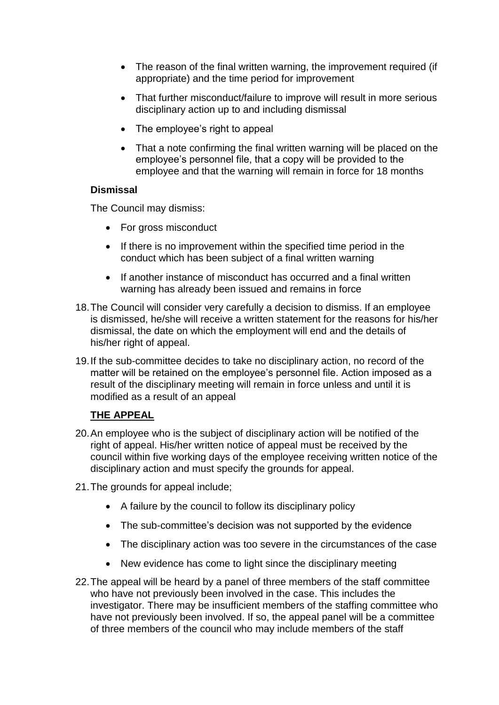- The reason of the final written warning, the improvement required (if appropriate) and the time period for improvement
- That further misconduct/failure to improve will result in more serious disciplinary action up to and including dismissal
- The employee's right to appeal
- That a note confirming the final written warning will be placed on the employee's personnel file, that a copy will be provided to the employee and that the warning will remain in force for 18 months

#### **Dismissal**

The Council may dismiss:

- For gross misconduct
- If there is no improvement within the specified time period in the conduct which has been subject of a final written warning
- If another instance of misconduct has occurred and a final written warning has already been issued and remains in force
- 18.The Council will consider very carefully a decision to dismiss. If an employee is dismissed, he/she will receive a written statement for the reasons for his/her dismissal, the date on which the employment will end and the details of his/her right of appeal.
- 19.If the sub-committee decides to take no disciplinary action, no record of the matter will be retained on the employee's personnel file. Action imposed as a result of the disciplinary meeting will remain in force unless and until it is modified as a result of an appeal

## **THE APPEAL**

- 20.An employee who is the subject of disciplinary action will be notified of the right of appeal. His/her written notice of appeal must be received by the council within five working days of the employee receiving written notice of the disciplinary action and must specify the grounds for appeal.
- 21.The grounds for appeal include;
	- A failure by the council to follow its disciplinary policy
	- The sub-committee's decision was not supported by the evidence
	- The disciplinary action was too severe in the circumstances of the case
	- New evidence has come to light since the disciplinary meeting
- 22.The appeal will be heard by a panel of three members of the staff committee who have not previously been involved in the case. This includes the investigator. There may be insufficient members of the staffing committee who have not previously been involved. If so, the appeal panel will be a committee of three members of the council who may include members of the staff